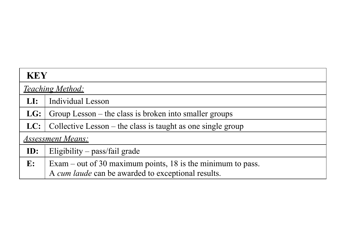| <b>KEY</b>     |                                                               |  |  |  |  |  |  |  |
|----------------|---------------------------------------------------------------|--|--|--|--|--|--|--|
|                | <u>Teaching Method:</u>                                       |  |  |  |  |  |  |  |
| LI:            | Individual Lesson                                             |  |  |  |  |  |  |  |
| LG:            | Group Lesson – the class is broken into smaller groups        |  |  |  |  |  |  |  |
| LC:            | Collective Lesson $-$ the class is taught as one single group |  |  |  |  |  |  |  |
|                | <b>Assessment Means:</b>                                      |  |  |  |  |  |  |  |
| $ID$ :         | Eligibility $-$ pass/fail grade                               |  |  |  |  |  |  |  |
| $\mathbf{E}$ : | Exam – out of 30 maximum points, 18 is the minimum to pass.   |  |  |  |  |  |  |  |
|                | A cum laude can be awarded to exceptional results.            |  |  |  |  |  |  |  |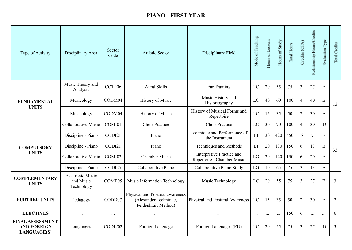## **PIANO - FIRST YEAR**

| Type of Activity                                                    | Disciplinary Area                                  | Sector<br>Code     | <b>Artistic Sector</b>                                                          | Disciplinary Field                                      | Mode of Teaching | Hours of Lessons | Hours of Study | Total Hours | Credits (CFA)  | Relationship Hours/Credits | <b>Evaluation Type</b> | Total Credits  |
|---------------------------------------------------------------------|----------------------------------------------------|--------------------|---------------------------------------------------------------------------------|---------------------------------------------------------|------------------|------------------|----------------|-------------|----------------|----------------------------|------------------------|----------------|
|                                                                     | Music Theory and<br>Analysis                       | COTP06             | <b>Aural Skills</b>                                                             | Ear Training                                            | LC               | 20               | 55             | 75          | $\overline{3}$ | 27                         | E                      |                |
| <b>FUNDAMENTAL</b>                                                  | Musicology                                         | CODM04             | <b>History of Music</b>                                                         | Music History and<br>Historiography                     | LC               | 40               | 60             | 100         | 4              | 40                         | E                      | 13             |
| <b>UNITS</b>                                                        | Musicology                                         | CODM04             | <b>History of Music</b>                                                         | History of Musical Forms and<br>Repertoire              | LC               | 15               | 35             | 50          | $\overline{2}$ | 30                         | E                      |                |
|                                                                     | <b>Collaborative Music</b>                         | COMI01             | <b>Choir Practice</b>                                                           | <b>Choir Practice</b>                                   | LC               | 30               | 70             | 100         | $\overline{4}$ | 30                         | ID                     |                |
|                                                                     | Discipline - Piano                                 | CODI21             | Piano                                                                           | Technique and Performance of<br>the Instrument          | LI               | 30               | 420            | 450         | 18             | $\overline{7}$             | E                      | 33             |
| <b>COMPULSORY</b>                                                   | Discipline - Piano                                 | CODI21             | Piano                                                                           | Techniques and Methods                                  | LI               | 20               | 130            | 150         | 6              | 13                         | ${\bf E}$              |                |
| <b>UNITS</b>                                                        | <b>Collaborative Music</b>                         | COMI03             | <b>Chamber Music</b>                                                            | Interpretive Practice and<br>Repertoire - Chamber Music | LG               | 30               | 120            | 150         | 6              | 20                         | E                      |                |
|                                                                     | Discipline - Piano                                 | CODI25             | Collaborative Piano                                                             | Collaborative Piano Study                               | LG               | 10               | 65             | 75          | $\overline{3}$ | 13                         | E                      |                |
| <b>COMPLEMENTARY</b><br><b>UNITS</b>                                | <b>Electronic Music</b><br>and Music<br>Technology | COME <sub>05</sub> | Music Information Technology                                                    | Music Technology                                        | LC               | 20               | 55             | 75          | 3              | 27                         | E                      | $\overline{3}$ |
| <b>FURTHER UNITS</b>                                                | Pedagogy                                           | CODD07             | Physical and Postural awareness<br>(Alexander Technique,<br>Feldenkrais Method) | <b>Physical and Postural Awareness</b>                  | LC               | 15               | 35             | 50          | $\overline{2}$ | 30                         | E                      | 2              |
| <b>ELECTIVES</b>                                                    | $\ldots$                                           | $\cdots$           | $\cdots$                                                                        | $\cdots$                                                | $\ldots$         | $\cdots$         | $\ldots$       | 150         | 6              | $\ldots$                   | $\cdots$               | 6              |
| <b>FINAL ASSESSMENT</b><br><b>AND FOREIGN</b><br><b>LANGUAGE(S)</b> | Languages                                          | CODL/02            | Foreign Language                                                                | Foreign Languages (EU)                                  | LC               | 20               | 55             | 75          | 3              | 27                         | ID                     | $\overline{3}$ |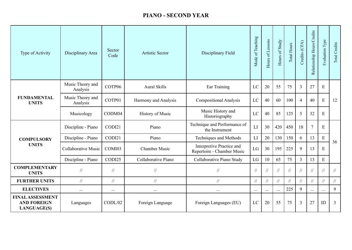## **PIANO - SECOND YEAR**

| Type of Activity                                                    | Disciplinary Area            | Sector<br>Code | <b>Artistic Sector</b> | Disciplinary Field                                      | Mode of Teaching | Hours of Lessons | Hours of Study | Total Hours | Credits (CFA)  | Relationship Hours/Credits | Evaluation Type | Total Credits                                             |
|---------------------------------------------------------------------|------------------------------|----------------|------------------------|---------------------------------------------------------|------------------|------------------|----------------|-------------|----------------|----------------------------|-----------------|-----------------------------------------------------------|
|                                                                     | Music Theory and<br>Analysis | COTP06         | <b>Aural Skills</b>    | Ear Training                                            | LC               | 20               | 55             | 75          | $\overline{3}$ | 27                         | E               |                                                           |
| <b>FUNDAMENTAL</b><br><b>UNITS</b>                                  | Music Theory and<br>Analysis | COTP01         | Harmony and Analysis   | <b>Compositional Analysis</b>                           | LC               | 40               | 60             | 100         | $\overline{4}$ | 40                         | E               | 12                                                        |
|                                                                     | Musicology                   | CODM04         | History of Music       | Music History and<br>Historiography                     | LC               | 40               | 85             | 125         | 5              | 32                         | E               |                                                           |
|                                                                     | Discipline - Piano           | CODI21         | Piano                  | Technique and Performance of<br>the Instrument          | LI               | 30               | 420            | 450         | 18             | $\overline{7}$             | E               | 36                                                        |
| <b>COMPULSORY</b>                                                   | Discipline - Piano           | CODI21         | Piano                  | Techniques and Methods                                  | LI               | 20               | 130            | 150         | 6              | 13                         | ${\bf E}$       |                                                           |
| <b>UNITS</b>                                                        | <b>Collaborative Music</b>   | COMI03         | <b>Chamber Music</b>   | Interpretive Practice and<br>Repertoire - Chamber Music | LG               | 30               | 195            | 225         | 9              | 13                         | E               |                                                           |
|                                                                     | Discipline - Piano           | CODI25         | Collaborative Piano    | Collaborative Piano Study                               | LG               | 10               | 65             | 75          | $\overline{3}$ | 13                         | E               |                                                           |
| <b>COMPLEMENTARY</b><br><b>UNITS</b>                                | $\frac{1}{2}$                | $\sqrt{}$      | $\sqrt{}$              | $\frac{1}{2}$                                           | $\sqrt{}$        | $\sqrt{}$        | $\frac{1}{2}$  | $\sqrt{}$   | $\sqrt{}$      | $\sqrt{}$                  | 77              | $\mathcal{U}% _{M_{1},M_{2}}^{\prime}(r_{1},r_{2},r_{3})$ |
| <b>FURTHER UNITS</b>                                                | $\frac{1}{2}$                | $\sqrt{}$      | $\frac{1}{2}$          | $\frac{1}{2}$                                           | $\frac{1}{2}$    | $\sqrt{}$        | 11             | $\sqrt{}$   | $\frac{1}{2}$  | $\sqrt{}$                  | 11              | $/\!/$                                                    |
| <b>ELECTIVES</b>                                                    | $\cdots$                     | $\cdots$       | $\cdots$               | $\cdots$                                                | $\cdots$         | $\cdots$         | $\cdots$       | 225         | 9              | $\cdots$                   | $\cdots$        | 9                                                         |
| <b>FINAL ASSESSMENT</b><br><b>AND FOREIGN</b><br><b>LANGUAGE(S)</b> | Languages                    | CODL/02        | Foreign Language       | Foreign Languages (EU)                                  | LC               | 20               | 55             | 75          | $\overline{3}$ | 27                         | ID              | $\overline{3}$                                            |